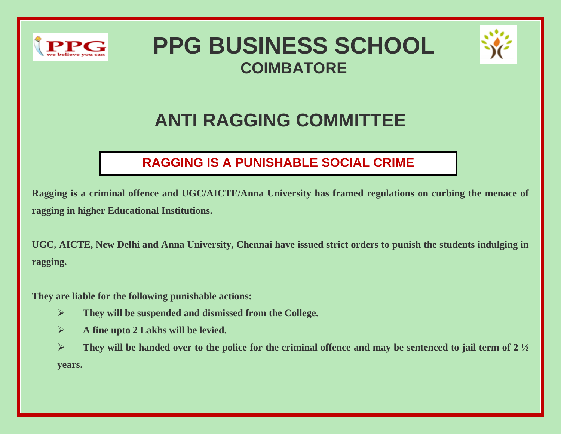

## **PPG BUSINESS SCHOOL COIMBATORE**



## **ANTI RAGGING COMMITTEE**

## **RAGGING IS A PUNISHABLE SOCIAL CRIME**

**Ragging is a criminal offence and UGC/AICTE/Anna University has framed regulations on curbing the menace of ragging in higher Educational Institutions.**

**UGC, AICTE, New Delhi and Anna University, Chennai have issued strict orders to punish the students indulging in ragging.**

**They are liable for the following punishable actions:**

- ➢ **They will be suspended and dismissed from the College.**
- ➢ **A fine upto 2 Lakhs will be levied.**
- $\triangleright$  **They will be handed over to the police for the criminal offence and may be sentenced to jail term of 2**  $\frac{1}{2}$ **years.**